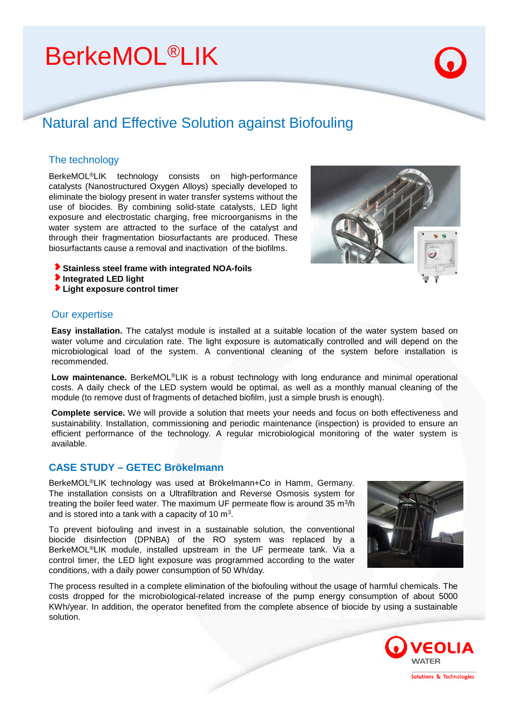# **BerkeMOL<sup>®</sup>LIK**

# Natural and Effective Solution against Biofouling

### The technology

BerkeMOL®LIK technology consists on high-performance catalysts (Nanostructured Oxygen Alloys) specially developed to eliminate the biology present in water transfer systems without the use of biocides. By combining solid-state catalysts, LED light exposure and electrostatic charging, free microorganisms in the water system are attracted to the surface of the catalyst and through their fragmentation biosurfactants are produced. These biosurfactants cause a removal and inactivation of the biofilms.

- **Stainless steel frame with integrated NOA-foils**
- **Integrated LED light**
- **Light exposure control timer**

#### Our expertise

**Easy installation.** The catalyst module is installed at a suitable location of the water system based on water volume and circulation rate. The light exposure is automatically controlled and will depend on the microbiological load of the system. A conventional cleaning of the system before installation is recommended.

**Low maintenance.** BerkeMOL®LIK is a robust technology with long endurance and minimal operational costs. A daily check of the LED system would be optimal, as well as a monthly manual cleaning of the module (to remove dust of fragments of detached biofilm, just a simple brush is enough).

**Complete service.** We will provide a solution that meets your needs and focus on both effectiveness and sustainability. Installation, commissioning and periodic maintenance (inspection) is provided to ensure an efficient performance of the technology. A regular microbiological monitoring of the water system is available.

## **CASE STUDY – GETEC Brökelmann**

BerkeMOL®LIK technology was used at Brökelmann+Co in Hamm, Germany. The installation consists on a Ultrafiltration and Reverse Osmosis system for treating the boiler feed water. The maximum UF permeate flow is around 35 m<sup>3</sup>/h and is stored into a tank with a capacity of 10  $m<sup>3</sup>$ .

To prevent biofouling and invest in a sustainable solution, the conventional biocide disinfection (DPNBA) of the RO system was replaced by a BerkeMOL®LIK module, installed upstream in the UF permeate tank. Via a control timer, the LED light exposure was programmed according to the water conditions, with a daily power consumption of 50 Wh/day.

The process resulted in a complete elimination of the biofouling without the usage of harmful chemicals. The costs dropped for the microbiological-related increase of the pump energy consumption of about 5000 KWh/year. In addition, the operator benefited from the complete absence of biocide by using a sustainable solution.